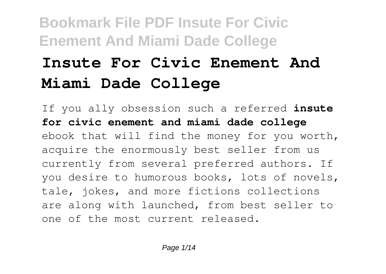# **Insute For Civic Enement And Miami Dade College**

If you ally obsession such a referred **insute for civic enement and miami dade college** ebook that will find the money for you worth, acquire the enormously best seller from us currently from several preferred authors. If you desire to humorous books, lots of novels, tale, jokes, and more fictions collections are along with launched, from best seller to one of the most current released.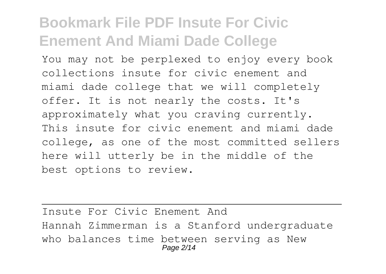You may not be perplexed to enjoy every book collections insute for civic enement and miami dade college that we will completely offer. It is not nearly the costs. It's approximately what you craving currently. This insute for civic enement and miami dade college, as one of the most committed sellers here will utterly be in the middle of the best options to review.

Insute For Civic Enement And Hannah Zimmerman is a Stanford undergraduate who balances time between serving as New Page 2/14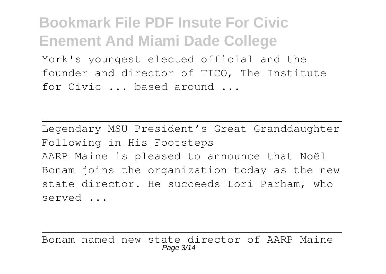York's youngest elected official and the founder and director of TICO, The Institute for Civic ... based around ...

Legendary MSU President's Great Granddaughter Following in His Footsteps AARP Maine is pleased to announce that Noël Bonam joins the organization today as the new state director. He succeeds Lori Parham, who served ...

Bonam named new state director of AARP Maine Page 3/14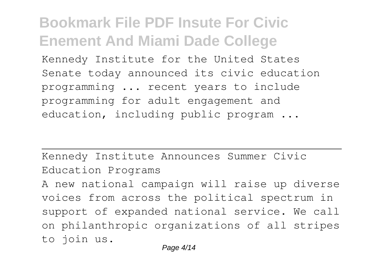Kennedy Institute for the United States Senate today announced its civic education programming ... recent years to include programming for adult engagement and education, including public program ...

Kennedy Institute Announces Summer Civic Education Programs A new national campaign will raise up diverse voices from across the political spectrum in support of expanded national service. We call on philanthropic organizations of all stripes to join us.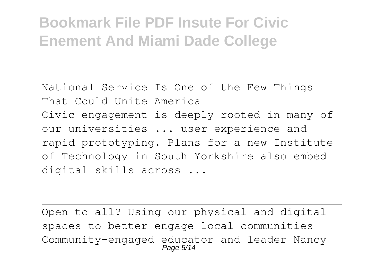National Service Is One of the Few Things That Could Unite America Civic engagement is deeply rooted in many of our universities ... user experience and rapid prototyping. Plans for a new Institute of Technology in South Yorkshire also embed digital skills across ...

Open to all? Using our physical and digital spaces to better engage local communities Community-engaged educator and leader Nancy Page 5/14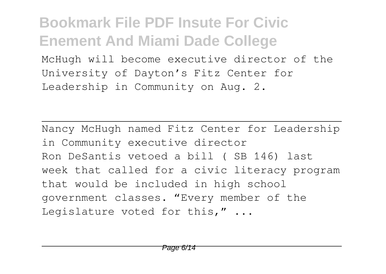McHugh will become executive director of the University of Dayton's Fitz Center for Leadership in Community on Aug. 2.

Nancy McHugh named Fitz Center for Leadership in Community executive director Ron DeSantis vetoed a bill ( SB 146) last week that called for a civic literacy program that would be included in high school government classes. "Every member of the Legislature voted for this," ...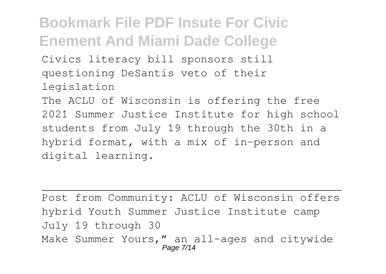Civics literacy bill sponsors still questioning DeSantis veto of their legislation

The ACLU of Wisconsin is offering the free 2021 Summer Justice Institute for high school students from July 19 through the 30th in a hybrid format, with a mix of in-person and digital learning.

```
Post from Community: ACLU of Wisconsin offers
hybrid Youth Summer Justice Institute camp
July 19 through 30
Make Summer Yours," an all-ages and citywide
                   Page 7/14
```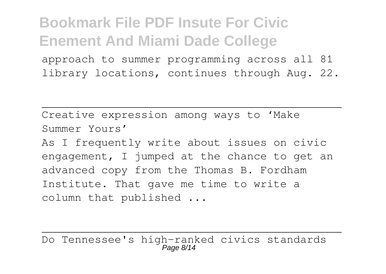approach to summer programming across all 81 library locations, continues through Aug. 22.

Creative expression among ways to 'Make Summer Yours' As I frequently write about issues on civic engagement, I jumped at the chance to get an advanced copy from the Thomas B. Fordham Institute. That gave me time to write a column that published ...

Do Tennessee's high-ranked civics standards  $P$ age  $R/$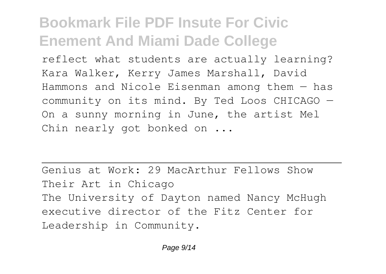reflect what students are actually learning? Kara Walker, Kerry James Marshall, David Hammons and Nicole Eisenman among them — has community on its mind. By Ted Loos CHICAGO — On a sunny morning in June, the artist Mel Chin nearly got bonked on ...

Genius at Work: 29 MacArthur Fellows Show Their Art in Chicago The University of Dayton named Nancy McHugh executive director of the Fitz Center for Leadership in Community.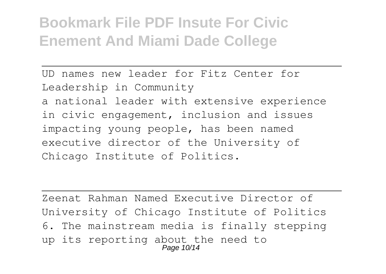UD names new leader for Fitz Center for Leadership in Community a national leader with extensive experience in civic engagement, inclusion and issues impacting young people, has been named executive director of the University of Chicago Institute of Politics.

Zeenat Rahman Named Executive Director of University of Chicago Institute of Politics 6. The mainstream media is finally stepping up its reporting about the need to Page 10/14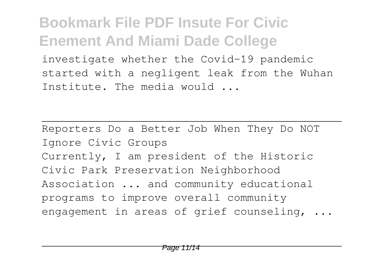investigate whether the Covid-19 pandemic started with a negligent leak from the Wuhan Institute. The media would ...

Reporters Do a Better Job When They Do NOT Ignore Civic Groups Currently, I am president of the Historic Civic Park Preservation Neighborhood Association ... and community educational programs to improve overall community engagement in areas of grief counseling, ...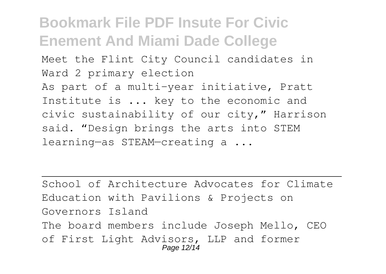Meet the Flint City Council candidates in Ward 2 primary election

As part of a multi-year initiative, Pratt Institute is ... key to the economic and civic sustainability of our city," Harrison said. "Design brings the arts into STEM learning—as STEAM—creating a ...

School of Architecture Advocates for Climate Education with Pavilions & Projects on Governors Island The board members include Joseph Mello, CEO of First Light Advisors, LLP and former Page 12/14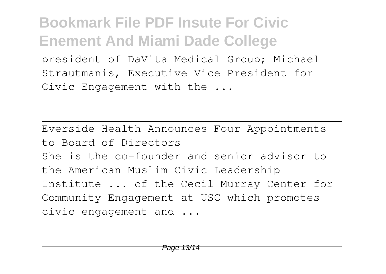president of DaVita Medical Group; Michael Strautmanis, Executive Vice President for Civic Engagement with the ...

Everside Health Announces Four Appointments to Board of Directors She is the co-founder and senior advisor to the American Muslim Civic Leadership Institute ... of the Cecil Murray Center for Community Engagement at USC which promotes civic engagement and ...